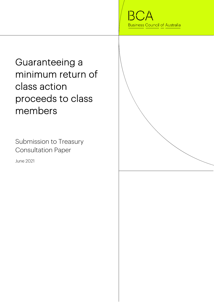BС **Business Council of Australia** 

Guaranteeing a minimum return of class action proceeds to class members

Submission to Treasury Consultation Paper

June 2021

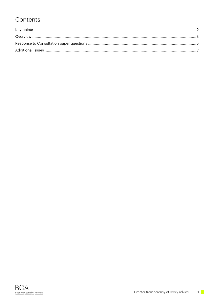### Contents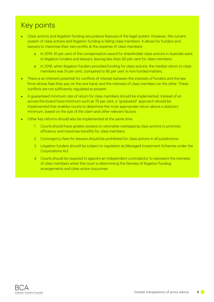# Key points

- Class actions and litigation funding are positive features of the legal system. However, the current system of class actions and litigation funding is failing class members. It allows for funders and lawyers to maximise their own profits at the expense of class members.
	- o In 2019, 61 per cent of the compensation award for shareholder class actions in Australia went to litigation funders and lawyers, leaving less than 40 per cent for class members.
	- o In 2018, when litigation funders provided funding for class actions, the median return to class members was 51 per cent, compared to 85 per cent in non-funded matters.
- There is an inherent potential for conflicts of interest between the interests of funders and the law firms whose fees they pay on the one hand, and the interests of class members on the other. These conflicts are not sufficiently regulated at present.
- A guaranteed minimum rate of return for class members should be implemented. Instead of an across-the-board fixed minimum such as 70 per cent, a "graduated" approach should be implemented that enables courts to determine the most appropriate return above a statutory minimum, based on the size of the claim and other relevant factors.
- Other key reforms should also be implemented at the same time:
	- 1. Courts should have greater powers to rationalise overlapping class actions to promote efficiency and maximise benefits for class members.
	- 2. Contingency fees for lawyers should be prohibited for class actions in all jurisdictions.
	- 3. Litigation funders should be subject to regulation as Managed Investment Schemes under the Corporations Act.
	- 4. Courts should be required to appoint an independent contradictor to represent the interests of class members when the court is determining the fairness of litigation funding arrangements and class action outcomes.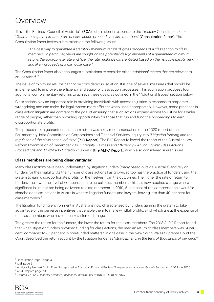### **Overview**

This is the Business Council of Australia's (BCA) submission in response to the Treasury Consultation Paper "*Guaranteeing a minimum return of class action proceeds to class members"* (Consultation Paper). The Consultation Paper invites submissions on the following issues:

*"The best way to guarantee a statutory minimum return of gross proceeds of a class action to class members. In particular, views are sought on the potential design elements of a guaranteed minimum return, the appropriate rate and how the rate might be differentiated based on the risk, complexity, length and likely proceeds of a particular case."* <sup>1</sup>

The Consultation Paper also encourages submissions to consider other *"additional maters that are relevant to issues raised."*<sup>2</sup>

The issue of minimum returns cannot be considered in isolation. It is one of several measures that should be implemented to improve the efficiency and equity of class action processes. This submission proposes four additional complementary reforms to achieve these goals, as outlined in the "Additional Issues" section below.

Class actions play an important role in providing individuals with access to justice in response to corporate wrongdoing and can make the legal system more efficient when used appropriately. However, some practices in class action litigation are contrary to the goal of ensuring that such actions expand access to justice for a wider range of people, rather than providing opportunities for those that run and fund the proceedings to earn disproportionate profits.

The proposal for a guaranteed minimum return was a key recommendation of the 2020 report of the Parliamentary Joint Committee on Corporations and Financial Services inquiry into "*Litigation funding and the regulation of the class action industry*" (PJC Report). The PJC Report followed the report of the Australian Law Reform Commission of December 2018 "*Integrity, Fairness and Efficiency – An Inquiry into Class Actions Proceedings and Third-Party Litigation Funders*" (the ALRC Report), which also considered similar issues.

#### **Class members are being disadvantaged**

Many class actions have been underwritten by litigation funders (many based outside Australia) and rely on funders for their viability. As the number of class actions has grown, so too has the practice of funders using the system to earn disproportionate profits for themselves from the outcomes. The higher the rate of return to funders, the lower the level of compensation to actual class members. This has now reached a stage where significant injustices are being delivered to class members. In 2019, 61 per cent of the compensation award for shareholder class actions in Australia went to litigation funders and lawyers, leaving less than 40 per cent for class members.3

The litigation funding environment in Australia is now characterised by funders gaming the system to take advantage of the perverse incentives that enable them to make windfall profits, all of which are at the expense of the class members who have actually suffered damage.

The greater the return for the funders, the lower the return for the class members. The 2018 ALRC Report found that when litigation funders provided funding for class actions, the median return to class members was 51 per cent, compared to 85 per cent in non-funded matters.<sup>4</sup> In one case in the New South Wales Supreme Court the Court described the return sought by the litigation funder as *"stratospheric, in the tens of thousands of per cent."*<sup>5</sup>

<sup>1</sup> Consultation Paper, page 4

<sup>2</sup> Ibid, page 5

<sup>&</sup>lt;sup>3</sup> Analysis by Herbert Smith Freehills reported in Australian Financial Review, *"Lawyers want a bigger slice of class actions",* 16 June 2020<br><sup>4</sup> ALRC Beport, page 70

ALRC Report, page 70

<sup>5</sup> *Tredrea v KPMG Financial Advisory Services (Australia) Pty Ltd* (No 3) [2019] NSWSC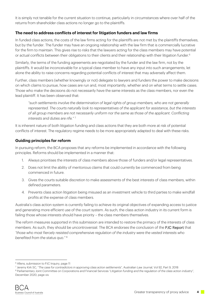It is simply not tenable for the current situation to continue, particularly in circumstances where over half of the returns from shareholder class actions no longer go to the plaintiffs.

#### **The need to address conflicts of interest for litigation funders and law firms**

In funded class actions, the costs of the law firms acting for the plaintiffs are not met by the plaintiffs themselves, but by the funder. The funder may have an ongoing relationship with the law firm that is commercially lucrative for the firm to maintain. This gives rise to risks that the lawyers acting for the class members may have potential or actual conflicts between their obligations to their clients and their relationship with their litigation funder.<sup>6</sup>

Similarly, the terms of the funding agreements are negotiated by the funder and the law firm, not by the plaintiffs. It would be inconceivable for a typical class member to have any input into such arrangements, let alone the ability to raise concerns regarding potential conflicts of interest that may adversely affect them.

Further, class members (whether knowingly or not) delegate to lawyers and funders the power to make decisions on which claims to pursue, how cases are run and, most importantly, whether and on what terms to settle cases. Those who make the decisions do not necessarily have the same interests as the class members, nor even the lead plaintiff. It has been observed that:

*"such settlements involve the determination of legal rights of group members, who are not generally represented. The courts naturally look to representatives of the applicant for assistance, but the interests of all group members are not necessarily uniform nor the same as those of the applicant. Conflicting interests and duties are rife."* <sup>7</sup>

It is inherent nature of both litigation funding and class actions that they are both more at risk of potential conflicts of interest. The regulatory regime needs to be more appropriately adapted to deal with these risks.

#### **Guiding principles for reform**

In pursuing reform, the BCA proposes that any reforms be implemented in accordance with the following principles. Reforms should be implemented in a manner that:

- 1. Always prioritises the interests of class members above those of funders and/or legal representatives.
- 2. Does not limit the ability of meritorious claims that could currently be commenced from being commenced in future.
- 3. Gives the courts suitable discretion to make assessments of the best interests of class members, within defined parameters.
- 4. Prevents class action litigation being misused as an investment vehicle to third parties to make windfall profits at the expense of class members.

Australia's class action system is currently failing to achieve its original objectives of expanding access to justice and generating more efficient use of the court system. As such, the class action industry in its current form is failing those whose interests should have priority – the class members themselves.

The reform measures supported in this submission are intended to restore the primacy of the interests of class members. As such, they should be uncontroversial. The BCA endorses the conclusion of the PJC Report that *"those who most fiercely resisted comprehensive regulation of the industry were the vested interests who benefited from the status quo."* <sup>8</sup>

<sup>&</sup>lt;sup>6</sup> Allens, submission to PJC Inquiry, page 11

<sup>&</sup>lt;sup>7</sup> Jeremy Kirk SC, "The case for contradictors in approving class action settlements", Australian Law Journal, Vol 92, Part 9, 2018<br><sup>8</sup> Parliamentary Joint Committee on Corporations and Financial Services "Litigation fund

<sup>&</sup>lt;sup>8</sup> Parliamentary Joint Committee on Corporations and Financial Services "Litigation funding and the regulation of the class action industry", December 2020, page xiv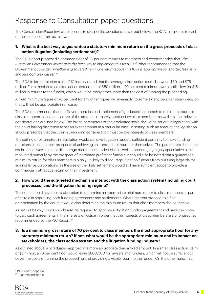## Response to Consultation paper questions

The Consultation Paper invites responses to six specific questions, as set out below. The BCA's response to each of these questions are as follows.

#### **1. What is the best way to guarantee a statutory minimum return on the gross proceeds of class action litigation (including settlements)?**

The PJC Report proposed a common floor of 70 per cent returns to members and recommended that *"the Australian Government investigate the best way to implement this floor."* It further recommended that the Government consider *"whether a graduated minimum return above this floor is appropriate for shorter, less risky and less complex cases." 9*

The BCA in its submission to the PJC inquiry noted that the average class action seeks between \$50 and \$75 million. For a median-sized class action settlement of \$50 million, a 70 per cent minimum would still allow for \$15 million in returns to the funder, which would be many times more than the cost of running the proceeding.

A fixed minimum figure of 70 per cent (or any other figure) will invariably, to some extent, be an arbitrary decision that will not be appropriate in all cases.

The BCA recommends that the Government instead implement a "graduated" approach to minimum returns to class members, based on the size of the amount ultimately obtained by class members, as well as other relevant considerations outlined below. The broad parameters of the graduated scale should be set out in legislation, with the court having discretion to set an exact amount in a particular case. In setting such an amount, the legislation should prescribe that the court's overriding consideration must be the interests of class members.

The setting of parameters in legislation would still give litigation funders sufficient certainty to make funding decisions based on their prospects of achieving an appropriate return for themselves. The parameters should be set in such a way as to not discourage meritorious funded claims, whilst discouraging highly speculative claims motivated primarily by the prospect of inordinate profits for funders. It should also be noted that a guaranteed minimum return for class members is highly unlikely to discourage litigation funders from pursuing large claims against large corporations, as the size of the likely settlement would still have sufficient scope to provide a commercially attractive return on their investment.

#### **2. How would the suggested mechanism interact with the class action system (including court processes) and the litigation funding regime?**

The court should have board discretion to determine an appropriate minimum return to class members as part of its role in approving both funding agreements and settlements. Where matters proceed to a final determination by the court, it would also determine the minimum return that class members should receive.

As set out below, courts should also be required to approve a litigation funding agreement and have the power to vary such agreements in the interests of justice in order that the interests of class members are prioritised, as recommended by the PJC Report.10

#### **3. Is a minimum gross return of 70 per cent to class members the most appropriate floor for any statutory minimum return? If not, what would be the appropriate minimum and its impact on stakeholders, the class action system and the litigation funding industry?**

As outlined above, a "graduated approach" is more appropriate than a fixed amount. In a small class action claim of \$2 million, a 70 per cent floor would leave \$600,000 for lawyers and funders, which will not be sufficient to cover the costs of running the proceeding and providing a viable return to the funder. On the other hand, in a

<sup>&</sup>lt;sup>9</sup> PJC Report, page xviii

<sup>&</sup>lt;sup>10</sup> Recommendation 11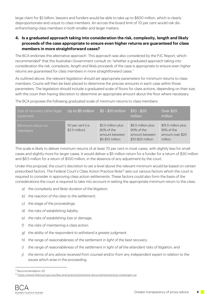large claim for \$2 billion, lawyers and funders would be able to take up to \$600 million, which is clearly disproportionate and unjust to class members. An across-the-board limit of 70 per cent would risk disenfranchising class members in both smaller and larger matters.

#### **4. Is a graduated approach taking into consideration the risk, complexity, length and likely proceeds of the case appropriate to ensure even higher returns are guaranteed for class members in more straightforward cases?**

The BCA endorses this alternative approach. This approach was also considered by the PJC Report, which recommended<sup>11</sup> that the Australian Government consult on *"whether a graduated approach taking into consideration the risk, complexity, length and likely proceeds of the case is appropriate to ensure even higher returns are guaranteed for class members in more straightforward cases."*

As outlined above, the relevant legislation should set appropriate parameters for minimum returns to class members. Courts will then be best placed to determine the precise amounts in each case within those parameters. The legislation should include a graduated scale of floors for class actions, depending on their size, with the court then having discretion to determine an appropriate amount about the floor where necessary.

The BCA proposes the following graduated scale of minimum returns to class members:

| Size of recovery (after legal<br>expenses) | Up to \$5 million                    | $$5 - $10$ million                                                     | $$10 - $20$<br>million                                                  | <b>Over \$20</b><br>million                                      |
|--------------------------------------------|--------------------------------------|------------------------------------------------------------------------|-------------------------------------------------------------------------|------------------------------------------------------------------|
| Minimum return to<br>members               | 50 per cent (i.e.<br>$$2.5$ million) | \$2.5 million plus<br>80% of the<br>amount between<br>\$5-\$10 million | \$6.5 million plus<br>90% of the<br>amount between<br>\$10-\$20 million | \$15.5 million plus<br>95% of the<br>amount over \$20<br>million |

This scale is likely to deliver minimum returns of at least 70 per cent in most cases, with slightly less for small cases and slightly more for larger cases. It would deliver a \$5 million return for a funder for a return of \$30 million and \$8.5 million for a return of \$100 million, in the absence of any adjustment by the court.

Under this proposal, the court's discretion to set a level above the relevant minimum would be based on certain prescribed factors. The Federal Court's Class Action Practice Note<sup>12</sup> sets out various factors which the court is required to consider in approving class action settlements. These factors could also form the basis of the considerations the court is required to take into account in setting the appropriate minimum return to the class:

- *a) the complexity and likely duration of the litigation;*
- *b) the reaction of the class to the settlement;*
- *c) the stage of the proceedings;*
- *d) the risks of establishing liability;*
- *e) the risks of establishing loss or damage;*
- *f) the risks of maintaining a class action;*
- *g) the ability of the respondent to withstand a greater judgment;*
- *h) the range of reasonableness of the settlement in light of the best recovery;*
- *i) the range of reasonableness of the settlement in light of all the attendant risks of litigation; and*
- *j) the terms of any advice received from counsel and/or from any independent expert in relation to the issues which arise in the proceeding.*

<sup>11</sup> Recommendation 20

<sup>12</sup> https://www.fedcourt.gov.au/law-and-practice/practice-documents/practice-notes/gpn-ca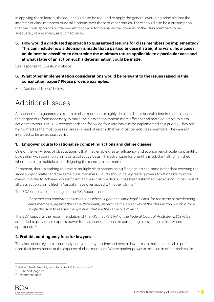In applying these factors, the court should also be required to apply the general overriding principle that the interests of class members must take priority over those of other parties. There should also be a presumption that the court appoint an independent contradictor to enable the interests of the class members to be adequately represented, as outlined below.

**5. How would a graduated approach to guaranteed returns for class members be implemented? This can include how a decision is made that a particular case if straightforward, how cases could best be classified to determine the minimum return applicable to a particular case and at what stage of an action such a determination could be made.** 

See response to Question 4 above.

**6. What other implementation considerations would be relevant to the issues raised in this consultation paper? Please provide examples.** 

See "Additional Issues" below.

### Additional Issues

A mechanism to guarantee a return to class members is highly desirable but is not sufficient in itself to achieve the degree of reform necessary to make the class action system more efficient and more equitable to class action members. The BCA recommends the following four reforms also be implemented as a priority. They are highlighted as the most pressing areas in need of reform that will most benefit class members. They are not intended to be an exhaustive list.

#### **1. Empower courts to rationalize competing actions and define classes**

One of the key virtues of class actions is that they enable greater efficiency and economies-of-scale for plaintiffs by dealing with common claims on a collective basis. This advantage for plaintiffs is substantially diminished where there are multiple claims litigating the same subject matter.

At present, there is nothing to prevent multiple class actions being filed against the same defendant covering the same subject matter and the same class members. Courts should have greater powers to rationalize multiple claims in order to achieve more efficient and less costly actions. It has been estimated that around 34 per cent of all class action claims filed in Australia have overlapped with other claims.13

The BCA endorses the findings of the PJC Report that:

*"Separate and concurrent class actions which litigate the same legal claims, for the same or overlapping class members, against the same defendant, undermine the objectives of the class action, which is for a single decision to resolve many claims that are the same or similar."* <sup>14</sup>

The BCA supports the recommendation of the PJC that Part IVA of the *Federal Court of Australia Act 1976* be amended to provide an express power for the court to rationalize competing class action claims where appropriate.15

#### **2. Prohibit contingency fees for lawyers**

The class action system is currently being used by funders and certain law firms to make unjustifiable profits from their investments at the expense of class members. Where market power is misused in other markets for

<sup>&</sup>lt;sup>13</sup> Herbert Smith Freehills, submission to PJC Inquiry, page 2

<sup>&</sup>lt;sup>14</sup> PJC Report, page xvi

<sup>&</sup>lt;sup>15</sup> Recommendation 2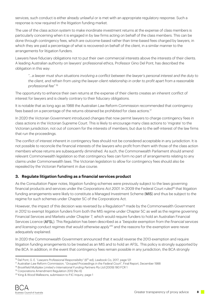services, such conduct is either already unlawful or is met with an appropriate regulatory response. Such a response is now required in the litigation funding market.

The use of the class action system to make inordinate investment returns at the expense of class members is particularly concerning when it is engaged in by law firms acting on behalf of the class members. This can be done through contingency fees, which are outcome-based rather than time-based fees charged by lawyers, in which they are paid a percentage of what is recovered on behalf of the client, in a similar manner to the arrangements for litigation funders.

Lawyers have fiduciary obligations not to put their own commercial interests above the interests of their clients. A leading Australian authority on lawyers' professional ethics, Professor Gino Del Pont, has described the obligation in this way:

*"…a lawyer must shun situations involving a conflict between the lawyer's personal interest and the duty to the client, and refrain from using the lawyer-client relationship in order to profit apart from a reasonable professional fee"* <sup>16</sup>

The opportunity to enhance their own returns at the expense of their clients creates an inherent conflict of interest for lawyers and is clearly contrary to their fiduciary obligations.

It is notable that as long ago as 1988 the Australian Law Reform Commission recommended that contingency fees based on a percentage of the returns obtained be prohibited for class actions.17

In 2020 the Victorian Government introduced changes that now permit lawyers to charge contingency fees in class actions in the Victorian Supreme Court. This is likely to encourage many class actions to 'migrate' to the Victorian jurisdiction, not out of concern for the interests of members, but due to the self-interest of the law firms that run the proceedings.

The conflict of interest inherent in contingency fees should not be considered acceptable in any jurisdiction. It is not possible to reconcile the financial interests of the lawyers who profit from them with those of the class action members whose returns are subsequently diminished. As such, the Commonwealth Parliament should amend relevant Commonwealth legislation so that contingency fees can form no part of arrangements relating to any claims under Commonwealth laws. The Victorian legislation to allow for contingency fees should also be repealed by the Victorian Parliament in due course.

#### **3. Regulate litigation funding as a financial services product**

As the Consultation Paper notes, litigation funding schemes were previously subject to the laws governing financial products and services under the *Corporations Act 2001*. In 2009 the Federal Court ruled18 that litigation funding arrangements were likely to constitute a Managed Investment Scheme (MIS) and thus be subject to the regime for such schemes under Chapter 5C of the Corporations Act.

However, the impact of this decision was reversed by a Regulation<sup>19</sup> made by the Commonwealth Government in 2012 to exempt litigation funders from both the MIS regime under Chapter 5C as well as the regime governing Financial Services and Markets under Chapter 7, which would require funders to hold an Australian Financial Services Licence (AFSL). This Regulation has been described as a *"bespoke exemption from the financial services and licensing conduct regimes that would otherwise apply"20* and the reasons for the exemption were never adequately explained.

In 2020 the Commonwealth Government announced that it would reverse the 2013 exemption and require litigation funding arrangements to be treated as an MIS and to hold an AFSL. This policy is strongly supported by the BCA. In addition, in the event that contingency fees remain possible in any jurisdiction, the BCA strongly

<sup>&</sup>lt;sup>16</sup> Dal Pont, G. E. "Lawyers Professional Responsibility" (6<sup>th</sup> ed), Lawbook Co, 2017, page 121<br><sup>17</sup> Australian Law Reform Commission, "Grouped Proceedings in the Federal Court", Final Report, December 1988<br><sup>18</sup> Brookfi

<sup>&</sup>lt;sup>20</sup> King & Wood Mallesons, submission to PJC Inquiry, page 1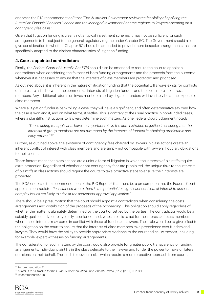endorses the PJC recommendation<sup>21</sup> that *"The Australian Government review the feasibility of applying the Australian Financial Services Licence and the Managed Investment Scheme regimes to lawyers operating on a contingency fee basis."* 

Given that litigation funding is clearly not a typical investment scheme, it may not be sufficient for such arrangements to be subject to the general regulatory regime under Chapter 5C. The Government should also give consideration to whether Chapter 5C should be amended to provide more bespoke arrangements that are specifically adapted to the distinct characteristics of litigation funding.

#### **4. Court-appointed contradictors**

Finally, the *Federal Court of Australia Act 1976* should also be amended to require the court to appoint a contradictor when considering the fairness of both funding arrangements and the proceeds from the outcome whenever it is necessary to ensure that the interests of class members are protected and prioritised.

As outlined above, it is inherent in the nature of litigation funding that the potential will always exists for conflicts of interest to arise between the commercial interests of litigation funders and the best interests of class members. Any additional returns on investment obtained by litigation funders will invariably be at the expense of class members.

Where a litigation funder is bankrolling a case, they will have a significant, and often determinative say over how the case is won and if, and on what terms, it settles. This is contrary to the usual practice in non-funded cases, where a plaintiff's instructions to lawyers determine such matters. As one Federal Court judgement noted:

*"Those acting for applicants have an important role in the administration of justice in ensuring that the interests of group members are not swamped by the interests of funders in obtaining predictable and early returns." 22*

Further, as outlined above, the existence of contingency fees charged by lawyers in class actions create an inherent conflict of interest with class members and are simply not compatible with lawyers' fiduciary obligations to their clients.

These factors mean that class actions are a unique form of litigation in which the interests of plaintiffs require extra protection. Regardless of whether or not contingency fees are prohibited, the unique risks to the interests of plaintiffs in class actions should require the courts to take proactive steps to ensure their interests are protected.

The BCA endorses the recommendation of the PJC Report<sup>23</sup> that there be a presumption that the Federal Court appoint a contradictor *"in instances where there is the potential for significant conflicts of interest to arise, or complex issues are likely to arise at the settlement approval application."*

There should be a presumption that the court should appoint a contradictor when considering the costs arrangements and distribution of the proceeds of the proceeding. This obligation should apply regardless of whether the matter is ultimately determined by the court or settled by the parties. The contradictor would be a suitably qualified advocate, typically a senior counsel, whose role is to act for the interests of class members where those interests may come in conflict with those of funders or lawyers. Their role would be to give effect to the obligation on the court to ensure that the interests of class members take precedence over funders and lawyers. They would have the ability to provide appropriate evidence to the court and call witnesses, including, for example, expert witnesses on funding arrangements.

The consideration of such matters by the court would also provide for greater public transparency of funding arrangements. Individual plaintiffs in the class delegate to their lawyer and funder the power to make unilateral decisions on their behalf. The leads to obvious risks, which require a more proactive approach from courts.

<sup>21</sup> Recommendation 21

<sup>&</sup>lt;sup>22</sup> CJMcG Ltd as Trustee for the CJMcG Superannuation Fund v Boral Limited (No 2) [2021] FCA 350<br><sup>23</sup> Recommendation 18